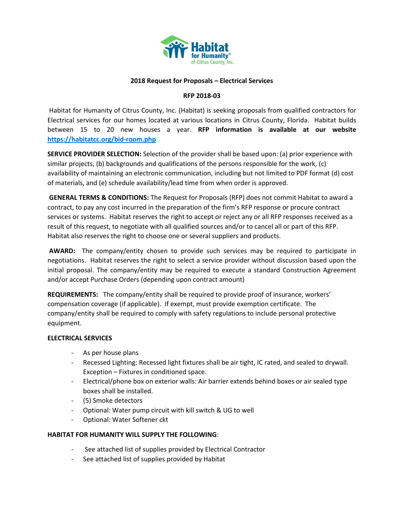

## **2018 Request for Proposals – Electrical Services**

#### **RFP 2018-03**

Habitat for Humanity of Citrus County, Inc. (Habitat) is seeking proposals from qualified contractors for Electrical services for our homes located at various locations in Citrus County, Florida. Habitat builds between 15 to 20 new houses a year. **RFP information is available at our website <https://habitatcc.org/bid-room.php>**

**SERVICE PROVIDER SELECTION:** Selection of the provider shall be based upon: (a) prior experience with similar projects, (b) backgrounds and qualifications of the persons responsible for the work, (c) availability of maintaining an electronic communication, including but not limited to PDF format (d) cost of materials, and (e) schedule availability/lead time from when order is approved.

**GENERAL TERMS & CONDITIONS:** The Request for Proposals (RFP) does not commit Habitat to award a contract, to pay any cost incurred in the preparation of the firm's RFP response or procure contract services or systems. Habitat reserves the right to accept or reject any or all RFP responses received as a result of this request, to negotiate with all qualified sources and/or to cancel all or part of this RFP. Habitat also reserves the right to choose one or several suppliers and products.

**AWARD:** The company/entity chosen to provide such services may be required to participate in negotiations. Habitat reserves the right to select a service provider without discussion based upon the initial proposal. The company/entity may be required to execute a standard Construction Agreement and/or accept Purchase Orders (depending upon contract amount)

**REQUIREMENTS:** The company/entity shall be required to provide proof of insurance, workers' compensation coverage (if applicable). If exempt, must provide exemption certificate. The company/entity shall be required to comply with safety regulations to include personal protective equipment.

#### **ELECTRICAL SERVICES**

- As per house plans
- Recessed Lighting: Recessed light fixtures shall be air tight, IC rated, and sealed to drywall. Exception – Fixtures in conditioned space.
- Electrical/phone box on exterior walls: Air barrier extends behind boxes or air sealed type boxes shall be installed.
- (5) Smoke detectors
- Optional: Water pump circuit with kill switch & UG to well
- Optional: Water Softener ckt

#### **HABITAT FOR HUMANITY WILL SUPPLY THE FOLLOWING**:

- See attached list of supplies provided by Electrical Contractor
- See attached list of supplies provided by Habitat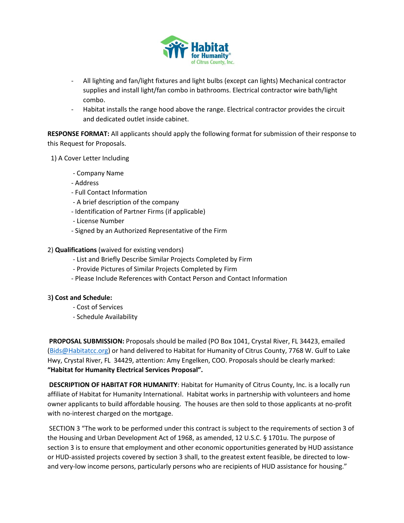

- All lighting and fan/light fixtures and light bulbs (except can lights) Mechanical contractor supplies and install light/fan combo in bathrooms. Electrical contractor wire bath/light combo.
- Habitat installs the range hood above the range. Electrical contractor provides the circuit and dedicated outlet inside cabinet.

**RESPONSE FORMAT:** All applicants should apply the following format for submission of their response to this Request for Proposals.

1) A Cover Letter Including

- Company Name
- Address
- Full Contact Information
- A brief description of the company
- Identification of Partner Firms (if applicable)
- License Number
- Signed by an Authorized Representative of the Firm
- 2) **Qualifications** (waived for existing vendors)
	- List and Briefly Describe Similar Projects Completed by Firm
	- Provide Pictures of Similar Projects Completed by Firm
	- Please Include References with Contact Person and Contact Information

## 3**) Cost and Schedule:**

- Cost of Services
- Schedule Availability

**PROPOSAL SUBMISSION:** Proposals should be mailed (PO Box 1041, Crystal River, FL 34423, emailed [\(Bids@Habitatcc.org\)](mailto:Bids@Habitatcc.org) or hand delivered to Habitat for Humanity of Citrus County, 7768 W. Gulf to Lake Hwy, Crystal River, FL 34429, attention: Amy Engelken, COO. Proposals should be clearly marked: **"Habitat for Humanity Electrical Services Proposal".**

**DESCRIPTION OF HABITAT FOR HUMANITY**: Habitat for Humanity of Citrus County, Inc. is a locally run affiliate of Habitat for Humanity International. Habitat works in partnership with volunteers and home owner applicants to build affordable housing. The houses are then sold to those applicants at no-profit with no-interest charged on the mortgage.

SECTION 3 "The work to be performed under this contract is subject to the requirements of section 3 of the Housing and Urban Development Act of 1968, as amended, 12 U.S.C. § 1701u. The purpose of section 3 is to ensure that employment and other economic opportunities generated by HUD assistance or HUD-assisted projects covered by section 3 shall, to the greatest extent feasible, be directed to lowand very-low income persons, particularly persons who are recipients of HUD assistance for housing."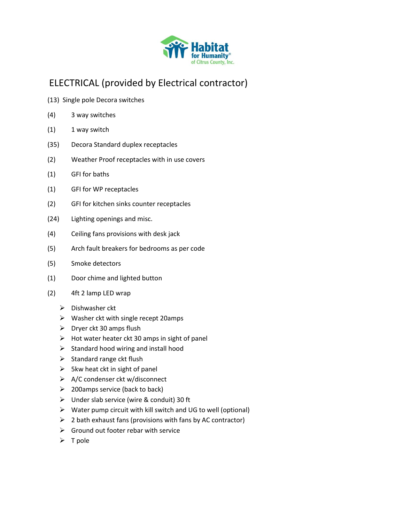

# ELECTRICAL (provided by Electrical contractor)

- (13) Single pole Decora switches
- (4) 3 way switches
- (1) 1 way switch
- (35) Decora Standard duplex receptacles
- (2) Weather Proof receptacles with in use covers
- (1) GFI for baths
- (1) GFI for WP receptacles
- (2) GFI for kitchen sinks counter receptacles
- (24) Lighting openings and misc.
- (4) Ceiling fans provisions with desk jack
- (5) Arch fault breakers for bedrooms as per code
- (5) Smoke detectors
- (1) Door chime and lighted button
- (2) 4ft 2 lamp LED wrap
	- $\triangleright$  Dishwasher ckt
	- ➢ Washer ckt with single recept 20amps
	- $\triangleright$  Dryer ckt 30 amps flush
	- $\triangleright$  Hot water heater ckt 30 amps in sight of panel
	- ➢ Standard hood wiring and install hood
	- $\triangleright$  Standard range ckt flush
	- $\triangleright$  5kw heat ckt in sight of panel
	- ➢ A/C condenser ckt w/disconnect
	- $\geq$  200 amps service (back to back)
	- ➢ Under slab service (wire & conduit) 30 ft
	- ➢ Water pump circuit with kill switch and UG to well (optional)
	- $\triangleright$  2 bath exhaust fans (provisions with fans by AC contractor)
	- $\triangleright$  Ground out footer rebar with service
	- ➢ T pole